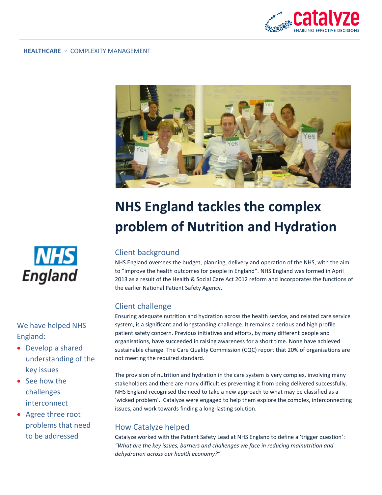



# **NHS England tackles the complex problem of Nutrition and Hydration**

## Client background

NHS England oversees the budget, planning, delivery and operation of the NHS, with the aim to "improve the health outcomes for people in England". NHS England was formed in April 2013 as a result of the Health & Social Care Act 2012 reform and incorporates the functions of the earlier National Patient Safety Agency.

## Client challenge

Ensuring adequate nutrition and hydration across the health service, and related care service system, is a significant and longstanding challenge. It remains a serious and high profile patient safety concern. Previous initiatives and efforts, by many different people and organisations, have succeeded in raising awareness for a short time. None have achieved sustainable change. The Care Quality Commission (CQC) report that 20% of organisations are not meeting the required standard.

The provision of nutrition and hydration in the care system is very complex, involving many stakeholders and there are many difficulties preventing it from being delivered successfully. NHS England recognised the need to take a new approach to what may be classified as a 'wicked problem'. Catalyze were engaged to help them explore the complex, interconnecting issues, and work towards finding a long-lasting solution.

## How Catalyze helped

Catalyze worked with the Patient Safety Lead at NHS England to define a 'trigger question': *"What are the key issues, barriers and challenges we face in reducing malnutrition and dehydration across our health economy?"*



We have helped NHS England:

- Develop a shared understanding of the key issues
- See how the challenges interconnect
- Agree three root problems that need to be addressed